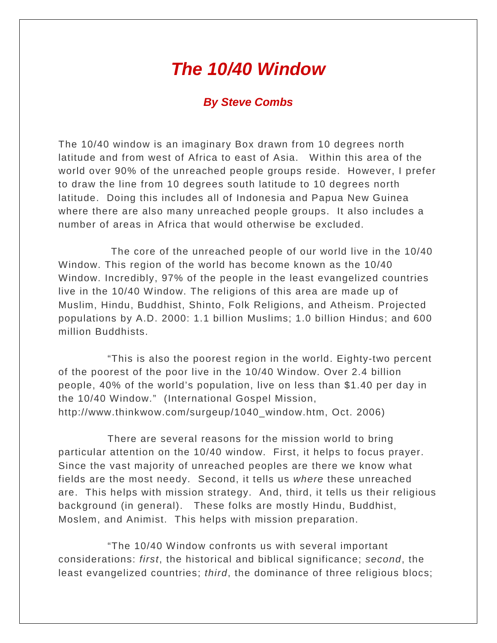## *The 10/40 Window*

## *By Steve Combs*

The 10/40 window is an imaginary Box drawn from 10 degrees north latitude and from west of Africa to east of Asia. Within this area of the world over 90% of the unreached people groups reside. However, I prefer to draw the line from 10 degrees south latitude to 10 degrees north latitude. Doing this includes all of Indonesia and Papua New Guinea where there are also many unreached people groups. It also includes a number of areas in Africa that would otherwise be excluded.

The core of the unreached people of our world live in the 10/40 Window. This region of the world has become known as the 10/40 Window. Incredibly, 97% of the people in the least evangelized countries live in the 10/40 Window. The religions of this area are made up of Muslim, Hindu, Buddhist, Shinto, Folk Religions, and Atheism. Projected populations by A.D. 2000: 1.1 billion Muslims; 1.0 billion Hindus; and 600 million Buddhists.

"This is also the poorest region in the world. Eighty-two percent of the poorest of the poor live in the 10/40 Window. Over 2.4 billion people, 40% of the world's population, live on less than \$1.40 per day in the 10/40 Window." (International Gospel Mission, http://www.thinkwow.com/surgeup/1040\_window.htm, Oct. 2006)

There are several reasons for the mission world to bring particular attention on the 10/40 window. First, it helps to focus prayer. Since the vast majority of unreached peoples are there we know what fields are the most needy. Second, it tells us *where* these unreached are. This helps with mission strategy. And, third, it tells us their religious background (in general). These folks are mostly Hindu, Buddhist, Moslem, and Animist. This helps with mission preparation.

"The 10/40 Window confronts us with several important considerations: *first*, the historical and biblical significance; *second*, the least evangelized countries; *third*, the dominance of three religious blocs;